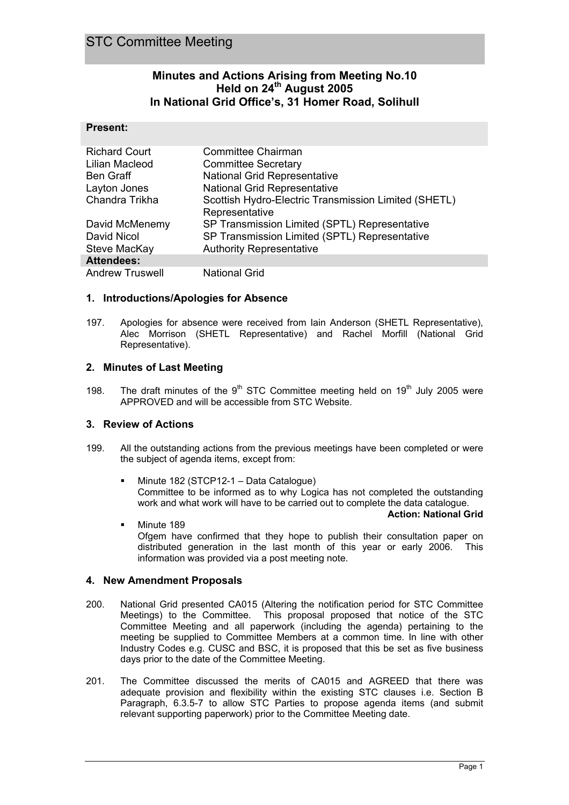## **Minutes and Actions Arising from Meeting No.10 Held on 24th August 2005 In National Grid Office's, 31 Homer Road, Solihull**

### **Present:**

I

| <b>Richard Court</b>   | Committee Chairman                                   |
|------------------------|------------------------------------------------------|
| Lilian Macleod         | <b>Committee Secretary</b>                           |
| <b>Ben Graff</b>       | <b>National Grid Representative</b>                  |
| Layton Jones           | <b>National Grid Representative</b>                  |
| Chandra Trikha         | Scottish Hydro-Electric Transmission Limited (SHETL) |
|                        | Representative                                       |
| David McMenemy         | SP Transmission Limited (SPTL) Representative        |
| David Nicol            | SP Transmission Limited (SPTL) Representative        |
| Steve MacKay           | <b>Authority Representative</b>                      |
| <b>Attendees:</b>      |                                                      |
| <b>Andrew Truswell</b> | <b>National Grid</b>                                 |

### **1. Introductions/Apologies for Absence**

197. Apologies for absence were received from Iain Anderson (SHETL Representative), Alec Morrison (SHETL Representative) and Rachel Morfill (National Grid Representative).

### **2. Minutes of Last Meeting**

198. The draft minutes of the  $9<sup>th</sup>$  STC Committee meeting held on 19<sup>th</sup> July 2005 were APPROVED and will be accessible from STC Website.

### **3. Review of Actions**

- 199. All the outstanding actions from the previous meetings have been completed or were the subject of agenda items, except from:
	- Minute 182 (STCP12-1 Data Catalogue) Committee to be informed as to why Logica has not completed the outstanding work and what work will have to be carried out to complete the data catalogue.

#### **Action: National Grid**

 Minute 189 Ofgem have confirmed that they hope to publish their consultation paper on distributed generation in the last month of this year or early 2006. This information was provided via a post meeting note.

### **4. New Amendment Proposals**

- 200. National Grid presented CA015 (Altering the notification period for STC Committee Meetings) to the Committee. This proposal proposed that notice of the STC Committee Meeting and all paperwork (including the agenda) pertaining to the meeting be supplied to Committee Members at a common time. In line with other Industry Codes e.g. CUSC and BSC, it is proposed that this be set as five business days prior to the date of the Committee Meeting.
- 201. The Committee discussed the merits of CA015 and AGREED that there was adequate provision and flexibility within the existing STC clauses i.e. Section B Paragraph, 6.3.5-7 to allow STC Parties to propose agenda items (and submit relevant supporting paperwork) prior to the Committee Meeting date.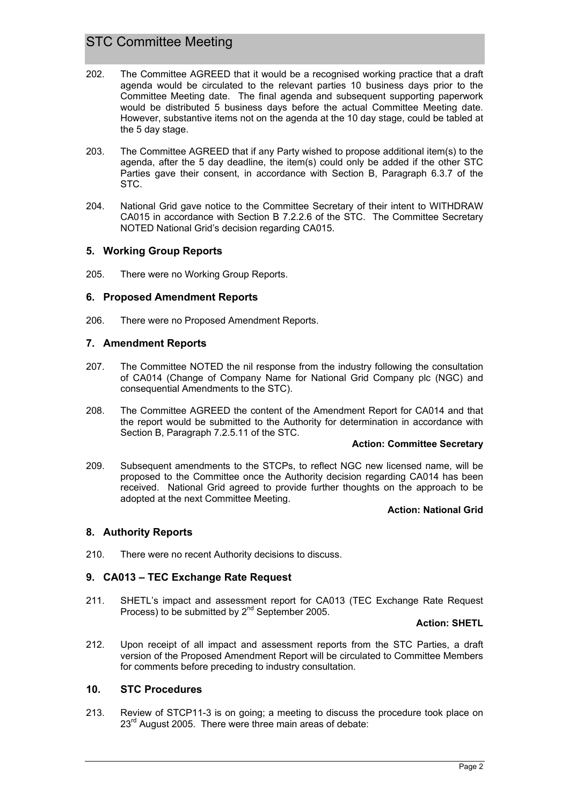# STC Committee Meeting

- 202. The Committee AGREED that it would be a recognised working practice that a draft agenda would be circulated to the relevant parties 10 business days prior to the Committee Meeting date. The final agenda and subsequent supporting paperwork would be distributed 5 business days before the actual Committee Meeting date. However, substantive items not on the agenda at the 10 day stage, could be tabled at the 5 day stage.
- 203. The Committee AGREED that if any Party wished to propose additional item(s) to the agenda, after the 5 day deadline, the item(s) could only be added if the other STC Parties gave their consent, in accordance with Section B, Paragraph 6.3.7 of the STC.
- 204. National Grid gave notice to the Committee Secretary of their intent to WITHDRAW CA015 in accordance with Section B 7.2.2.6 of the STC. The Committee Secretary NOTED National Grid's decision regarding CA015.

### **5. Working Group Reports**

205. There were no Working Group Reports.

### **6. Proposed Amendment Reports**

206. There were no Proposed Amendment Reports.

### **7. Amendment Reports**

- 207. The Committee NOTED the nil response from the industry following the consultation of CA014 (Change of Company Name for National Grid Company plc (NGC) and consequential Amendments to the STC).
- 208. The Committee AGREED the content of the Amendment Report for CA014 and that the report would be submitted to the Authority for determination in accordance with Section B, Paragraph 7.2.5.11 of the STC.

#### **Action: Committee Secretary**

209. Subsequent amendments to the STCPs, to reflect NGC new licensed name, will be proposed to the Committee once the Authority decision regarding CA014 has been received. National Grid agreed to provide further thoughts on the approach to be adopted at the next Committee Meeting.

#### **Action: National Grid**

### **8. Authority Reports**

210. There were no recent Authority decisions to discuss.

### **9. CA013 – TEC Exchange Rate Request**

211. SHETL's impact and assessment report for CA013 (TEC Exchange Rate Request Process) to be submitted by  $2^{nd}$  September 2005.

### **Action: SHETL**

212. Upon receipt of all impact and assessment reports from the STC Parties, a draft version of the Proposed Amendment Report will be circulated to Committee Members for comments before preceding to industry consultation.

### **10. STC Procedures**

213. Review of STCP11-3 is on going; a meeting to discuss the procedure took place on 23<sup>rd</sup> August 2005. There were three main areas of debate: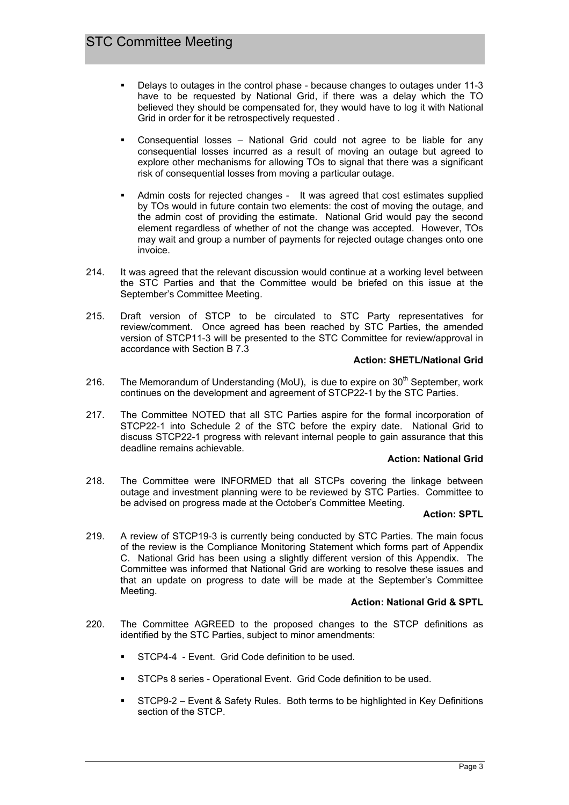- Delays to outages in the control phase because changes to outages under 11-3 have to be requested by National Grid, if there was a delay which the TO believed they should be compensated for, they would have to log it with National Grid in order for it be retrospectively requested .
- Consequential losses National Grid could not agree to be liable for any consequential losses incurred as a result of moving an outage but agreed to explore other mechanisms for allowing TOs to signal that there was a significant risk of consequential losses from moving a particular outage.
- Admin costs for rejected changes It was agreed that cost estimates supplied by TOs would in future contain two elements: the cost of moving the outage, and the admin cost of providing the estimate. National Grid would pay the second element regardless of whether of not the change was accepted. However, TOs may wait and group a number of payments for rejected outage changes onto one invoice.
- 214. It was agreed that the relevant discussion would continue at a working level between the STC Parties and that the Committee would be briefed on this issue at the September's Committee Meeting.
- 215. Draft version of STCP to be circulated to STC Party representatives for review/comment. Once agreed has been reached by STC Parties, the amended version of STCP11-3 will be presented to the STC Committee for review/approval in accordance with Section B 7.3

### **Action: SHETL/National Grid**

- 216. The Memorandum of Understanding (MoU), is due to expire on  $30<sup>th</sup>$  September, work continues on the development and agreement of STCP22-1 by the STC Parties.
- 217. The Committee NOTED that all STC Parties aspire for the formal incorporation of STCP22-1 into Schedule 2 of the STC before the expiry date. National Grid to discuss STCP22-1 progress with relevant internal people to gain assurance that this deadline remains achievable.

#### **Action: National Grid**

218. The Committee were INFORMED that all STCPs covering the linkage between outage and investment planning were to be reviewed by STC Parties. Committee to be advised on progress made at the October's Committee Meeting.

#### **Action: SPTL**

219. A review of STCP19-3 is currently being conducted by STC Parties. The main focus of the review is the Compliance Monitoring Statement which forms part of Appendix C. National Grid has been using a slightly different version of this Appendix. The Committee was informed that National Grid are working to resolve these issues and that an update on progress to date will be made at the September's Committee Meeting.

### **Action: National Grid & SPTL**

- 220. The Committee AGREED to the proposed changes to the STCP definitions as identified by the STC Parties, subject to minor amendments:
	- STCP4-4 Event. Grid Code definition to be used.
	- STCPs 8 series Operational Event. Grid Code definition to be used.
	- STCP9-2 Event & Safety Rules. Both terms to be highlighted in Key Definitions section of the STCP.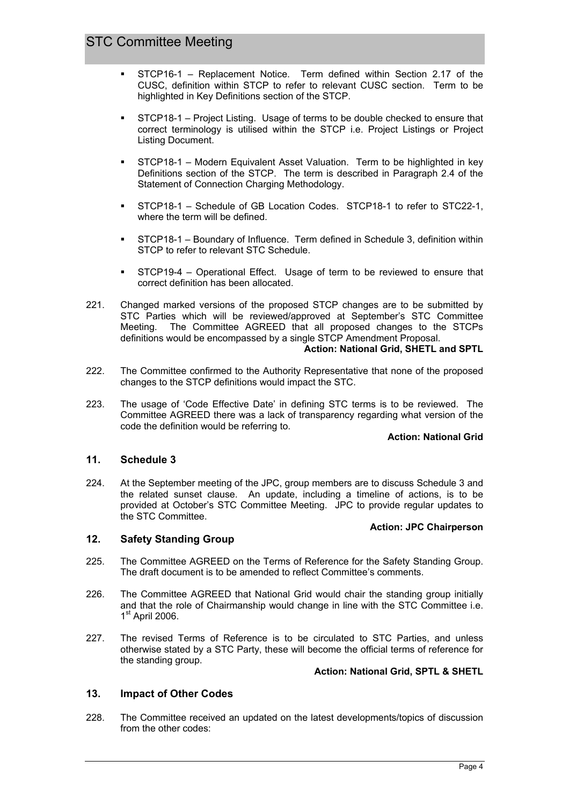- STCP16-1 Replacement Notice. Term defined within Section 2.17 of the CUSC, definition within STCP to refer to relevant CUSC section. Term to be highlighted in Key Definitions section of the STCP.
- STCP18-1 Project Listing. Usage of terms to be double checked to ensure that correct terminology is utilised within the STCP i.e. Project Listings or Project Listing Document.
- STCP18-1 Modern Equivalent Asset Valuation. Term to be highlighted in key Definitions section of the STCP. The term is described in Paragraph 2.4 of the Statement of Connection Charging Methodology.
- STCP18-1 Schedule of GB Location Codes. STCP18-1 to refer to STC22-1, where the term will be defined.
- STCP18-1 Boundary of Influence. Term defined in Schedule 3, definition within STCP to refer to relevant STC Schedule.
- STCP19-4 Operational Effect. Usage of term to be reviewed to ensure that correct definition has been allocated.
- 221. Changed marked versions of the proposed STCP changes are to be submitted by STC Parties which will be reviewed/approved at September's STC Committee Meeting. The Committee AGREED that all proposed changes to the STCPs definitions would be encompassed by a single STCP Amendment Proposal.

#### **Action: National Grid, SHETL and SPTL**

- 222. The Committee confirmed to the Authority Representative that none of the proposed changes to the STCP definitions would impact the STC.
- 223. The usage of 'Code Effective Date' in defining STC terms is to be reviewed. The Committee AGREED there was a lack of transparency regarding what version of the code the definition would be referring to.

#### **Action: National Grid**

### **11. Schedule 3**

224. At the September meeting of the JPC, group members are to discuss Schedule 3 and the related sunset clause. An update, including a timeline of actions, is to be provided at October's STC Committee Meeting. JPC to provide regular updates to the STC Committee.

#### **Action: JPC Chairperson**

### **12. Safety Standing Group**

- 225. The Committee AGREED on the Terms of Reference for the Safety Standing Group. The draft document is to be amended to reflect Committee's comments.
- 226. The Committee AGREED that National Grid would chair the standing group initially and that the role of Chairmanship would change in line with the STC Committee i.e.  $1<sup>st</sup>$  April 2006.
- 227. The revised Terms of Reference is to be circulated to STC Parties, and unless otherwise stated by a STC Party, these will become the official terms of reference for the standing group.

### **Action: National Grid, SPTL & SHETL**

### **13. Impact of Other Codes**

228. The Committee received an updated on the latest developments/topics of discussion from the other codes: